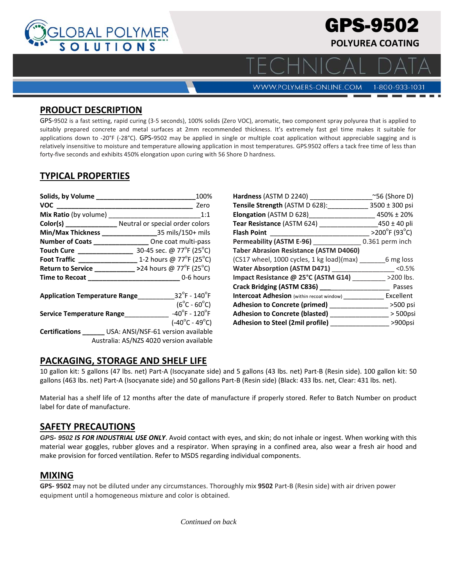

# GPS-9502 **POLYUREA COATING**

**WWW.POLYMERS-ONLINE.COM** 

1-800-933-1031

 $\Box$   $\land$ 

### **PRODUCT DESCRIPTION**

GPS‐9502 is a fast setting, rapid curing (3‐5 seconds), 100% solids (Zero VOC), aromatic, two component spray polyurea that is applied to suitably prepared concrete and metal surfaces at 2mm recommended thickness. It's extremely fast gel time makes it suitable for applications down to -20°F (-28°C). GPS-9502 may be applied in single or multiple coat application without appreciable sagging and is relatively insensitive to moisture and temperature allowing application in most temperatures. GPS‐9502 offers a tack free time of less than forty-five seconds and exhibits 450% elongation upon curing with 56 Shore D hardness.

# **TYPICAL PROPERTIES**

| Solids, by Volume ___________________________                                                          | 100%                                                                 |
|--------------------------------------------------------------------------------------------------------|----------------------------------------------------------------------|
| VOC <b>Andre Stru</b>                                                                                  | Zero                                                                 |
| Mix Ratio (by volume)                                                                                  | 1:1                                                                  |
|                                                                                                        | Color(s) __________________ Neutral or special order colors          |
|                                                                                                        |                                                                      |
|                                                                                                        | Number of Coats __________________ One coat multi-pass               |
| Touch Cure _________________                                                                           | 30-45 sec. @ 77°F (25°C)                                             |
|                                                                                                        |                                                                      |
|                                                                                                        | Return to Service ____________ >24 hours @ 77°F (25°C)               |
|                                                                                                        | Time to Recoat 0-6 hours                                             |
| <b>Application Temperature Range</b>                                                                   | $32^{\circ}$ F - $140^{\circ}$ F<br>$(6^{\circ}C - 60^{\circ}C)$     |
| Service Temperature Range                                                                              | $-40^{\circ}$ F - 120 $^{\circ}$ F<br>$(-40^{\circ}C - 49^{\circ}C)$ |
| Certifications ________ USA: ANSI/NSF-61 version available<br>Australia: AS/NZS 4020 version available |                                                                      |

| Hardness (ASTM D 2240)                           | $^{\sim}56$ (Shore D)   |
|--------------------------------------------------|-------------------------|
| Tensile Strength (ASTM D 628):                   | 3500 ± 300 psi          |
| <b>Elongation</b> (ASTM D 628)                   | 450% ± 20%              |
| Tear Resistance (ASTM 624)                       | $450 \pm 40$ pli        |
| <b>Flash Point</b>                               | $>200^{\circ}$ F (93°C) |
| Permeability (ASTM E-96) _____________           | 0.361 perm inch         |
| <b>Taber Abrasion Resistance (ASTM D4060)</b>    |                         |
| (CS17 wheel, 1000 cycles, 1 kg load)(max)        | 6 mg loss               |
| <b>Water Absorption (ASTM D471)</b>              | < 0.5%                  |
| Impact Resistance @ 25°C (ASTM G14)              | $>200$ lbs.             |
| Crack Bridging (ASTM C836)                       | Passes                  |
| <b>Intercoat Adhesion</b> (within recoat window) | Excellent               |
| Adhesion to Concrete (primed) _____              | $>500$ psi              |
| <b>Adhesion to Concrete (blasted)</b>            | $>$ 500psi              |
| Adhesion to Steel (2mil profile)                 | >900psi                 |
|                                                  |                         |

## **PACKAGING, STORAGE AND SHELF LIFE**

10 gallon kit: 5 gallons (47 lbs. net) Part‐A (Isocyanate side) and 5 gallons (43 lbs. net) Part‐B (Resin side). 100 gallon kit: 50 gallons (463 lbs. net) Part‐A (Isocyanate side) and 50 gallons Part‐B (Resin side) (Black: 433 lbs. net, Clear: 431 lbs. net).

Material has a shelf life of 12 months after the date of manufacture if properly stored. Refer to Batch Number on product label for date of manufacture.

#### **SAFETY PRECAUTIONS**

*GPS- 9502 IS FOR INDUSTRIAL USE ONLY*. Avoid contact with eyes, and skin; do not inhale or ingest. When working with this material wear goggles, rubber gloves and a respirator. When spraying in a confined area, also wear a fresh air hood and make provision for forced ventilation. Refer to MSDS regarding individual components.

#### **MIXING**

**GPS‐ 9502** may not be diluted under any circumstances. Thoroughly mix **9502** Part‐B (Resin side) with air driven power equipment until a homogeneous mixture and color is obtained.

*Continued on back*